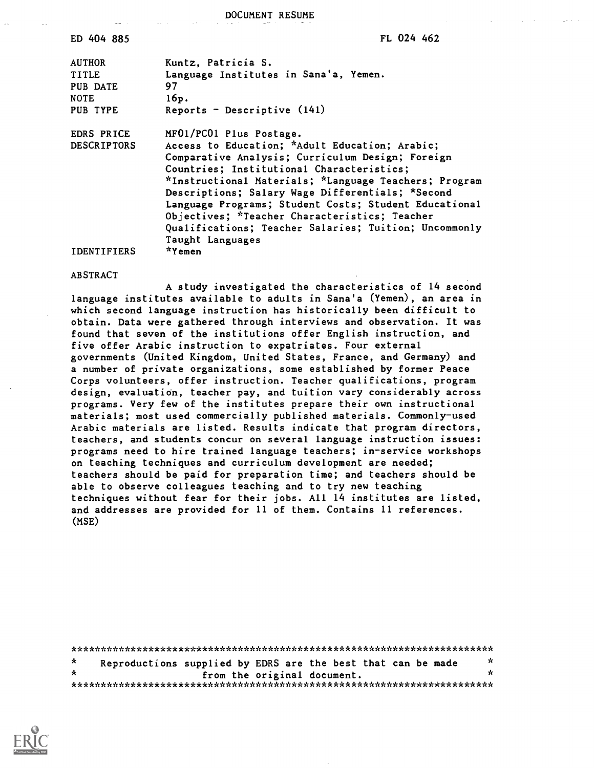DOCUMENT RESUME

| ED 404 885 | FL 024 462 |  |
|------------|------------|--|
|            |            |  |

AUTHOR Kuntz, Patricia S. TITLE Language Institutes in Sana'a, Yemen. PUB DATE 97 NOTE 16p. PUB TYPE Reports - Descriptive (141)

EDRS PRICE MF01/PC01 Plus Postage.

DESCRIPTORS Access to Education; \*Adult Education; Arabic; Comparative Analysis; Curriculum Design; Foreign Countries; Institutional Characteristics; \*Instructional Materials; \*Language Teachers; Program Descriptions; Salary Wage Differentials; \*Second Language Programs; Student Costs; Student Educational Objectives; \*Teacher Characteristics; Teacher Qualifications; Teacher Salaries; Tuition; Uncommonly Taught Languages IDENTIFIERS \*Yemen

ABSTRACT

A study investigated the characteristics of 14 second language institutes available to adults in Sana'a (Yemen), an area in which second language instruction has historically been difficult to obtain. Data were gathered through interviews and observation. It was found that seven of the institutions offer English instruction, and five offer Arabic instruction to expatriates. Four external governments (United Kingdom, United States, France, and Germany) and a number of private organizations, some established by former Peace Corps volunteers, offer instruction. Teacher qualifications, program design, evaluation, teacher pay, and tuition vary considerably across programs. Very few of the institutes prepare their own instructional materials; most used commercially published materials. Commonly-used Arabic materials are listed. Results indicate that program directors, teachers, and students concur on several language instruction issues: programs need to hire trained language teachers; in-service workshops on teaching techniques and curriculum development are needed; teachers should be paid for preparation time; and teachers should be able to observe colleagues teaching and to try new teaching techniques without fear for their jobs. All 14 institutes are listed, and addresses are provided for 11 of them. Contains 11 references. (MSE)

\*\*\*\*\*\*\*\*\*\*\*\*\*\*\*\*\*\*\*\*\*\*\*\*\*\*\*\*\*\*\*\*\*\*\*\*\*\*\*\*\*\*\*\*\*\*\*\*\*\*\*\*\*\*\*\*\*\*\*\*\*\*\*\*\*\*\*\*\*\*\*  $\Lambda$ Reproductions supplied by EDRS are the best that can be made  $\frac{x}{x}$ from the original document. \*\*\*\*\*\*\*\*\*\*\*\*\*\*\*\*\*\*\*\*\*\*\*\*\*\*\*\*\*\*\*\*\*\*\*\*\*\*\*\*\*\*\*\*\*\*\*\*\*\*\*\*\*\*\*\*\*\*\*\*\*\*\*\*\*\*\*\*\*\*\*

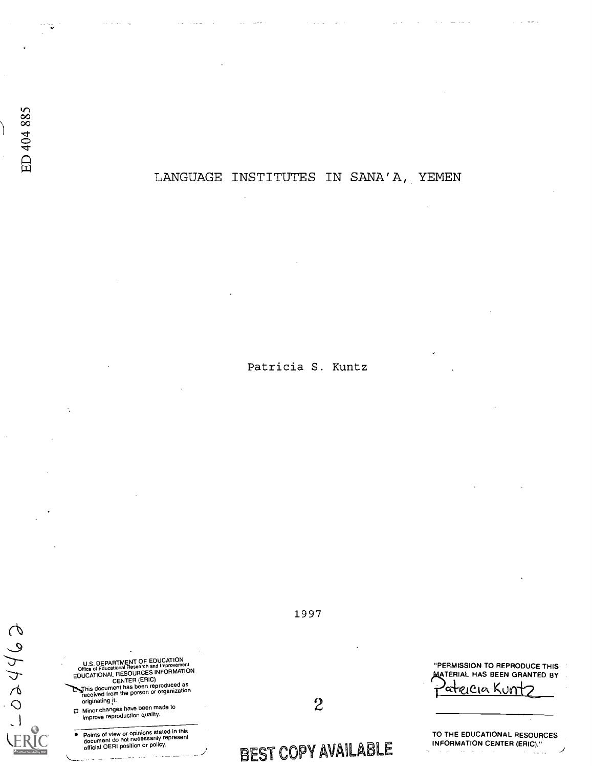# LANGUAGE INSTITUTES IN SANA'A, YEMEN

Patricia S. Kuntz

eghteo-U.S. DEPARTMENT OF EDUCATION<br>Office of Educational Research and Improvement<br>EDUCATIONAL RESOURCES INFORMATION<br>CENTER (ERIC) This document has been reproduced as<br>received from the person or organization originating Minor changes have been made to<br>improve reproduction quality.

Points of view or opinions stated in this document do not necessarily represent official OERI position or policy.

1997

"PERMISSION TO REPRODUCE THIS **MATERIAL HAS BEEN GRANTED BY** 

reietei Kun

BEST COPY AVAILABLE

2

TO THE EDUCATIONAL RESOURCES INFORMATION CENTER (ERIC)." $\ddot{\phantom{a}}$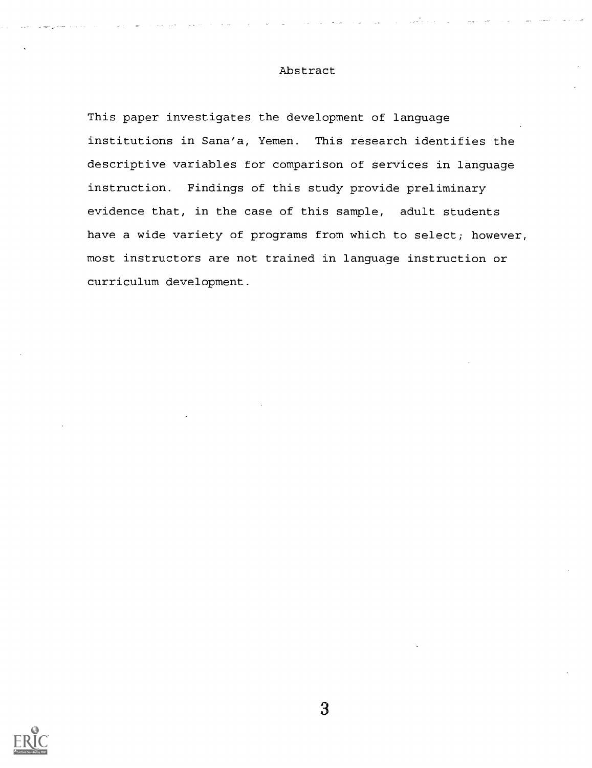## Abstract

This paper investigates the development of language institutions in Sana'a, Yemen. This research identifies the descriptive variables for comparison of services in language instruction. Findings of this study provide preliminary evidence that, in the case of this sample, adult students have a wide variety of programs from which to select; however, most instructors are not trained in language instruction or curriculum development.

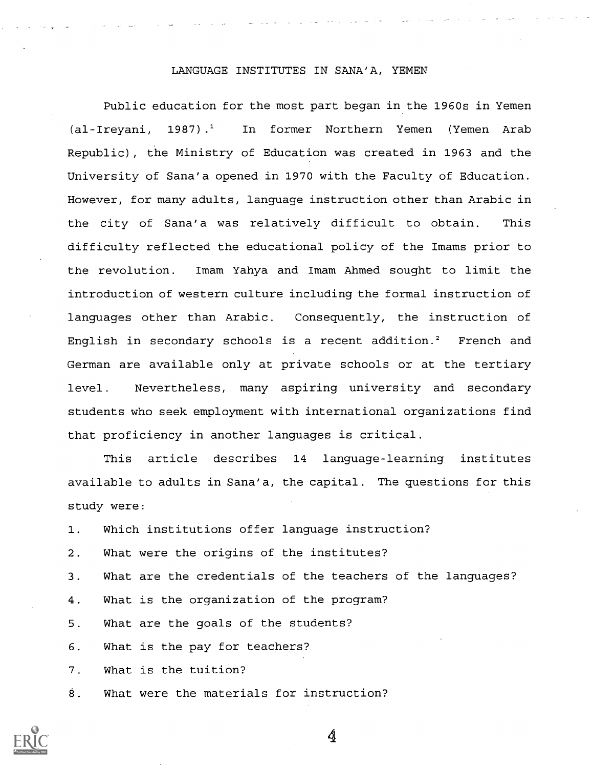#### LANGUAGE INSTITUTES IN SANA'A, YEMEN

Public education for the most part began in the 1960s in Yemen (al-Ireyani, 1987).<sup>1</sup> In former Northern Yemen (Yemen Arab Republic), the Ministry of Education was created in 1963 and the University of Sana'a opened in 1970 with the Faculty of Education. However, for many adults, language instruction other than Arabic in the city of Sana'a was relatively difficult to obtain. This difficulty reflected the educational policy of the Imams prior to the revolution. Imam Yahya and Imam Ahmed sought to limit the introduction of western culture including the formal instruction of languages other than Arabic. Consequently, the instruction of English in secondary schools is a recent addition.<sup>2</sup> French and German are available only at private schools or at the tertiary level. Nevertheless, many aspiring university and secondary students who seek employment with international organizations find that proficiency in another languages is critical.

This article describes 14 language-learning institutes available to adults in Sana'a, the capital. The questions for this study were:

| 1. Which institutions offer language instruction?             |
|---------------------------------------------------------------|
| 2. What were the origins of the institutes?                   |
| 3. What are the credentials of the teachers of the languages? |
| 4. What is the organization of the program?                   |
| 5. What are the goals of the students?                        |
| 6. What is the pay for teachers?                              |
| 7. What is the tuition?                                       |
| 8. What were the materials for instruction?                   |

Â,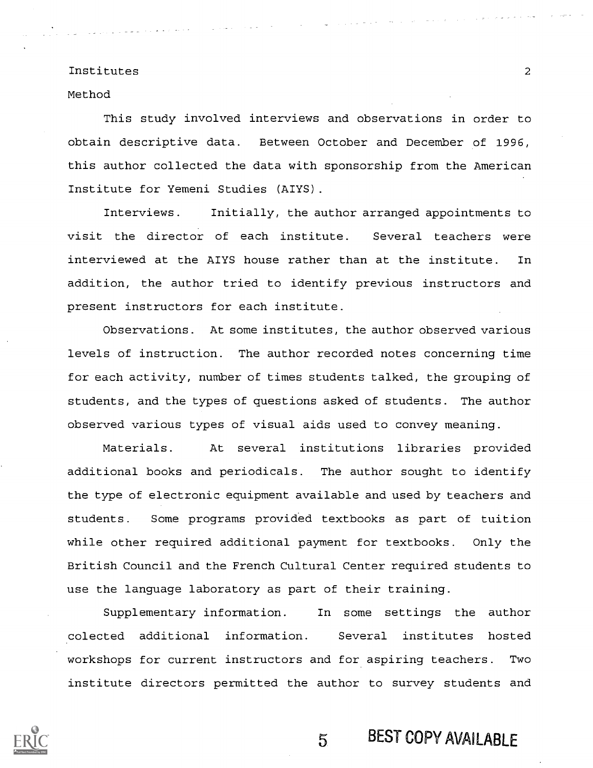Method

This study involved interviews and observations in order to obtain descriptive data. Between October and December of 1996, this author collected the data with sponsorship from the American Institute for Yemeni Studies (AIYS).

Interviews. Initially, the author arranged appointments to visit the director of each institute. Several teachers were interviewed at the AIYS house rather than at the institute. In addition, the author tried to identify previous instructors and present instructors for each institute.

Observations. At some institutes, the author observed various levels of instruction. The author recorded notes concerning time for each activity, number of times students talked, the grouping of students, and the types of questions asked of students. The author observed various types of visual aids used to convey meaning.

Materials. At several institutions libraries provided additional books and periodicals. The author sought to identify the type of electronic equipment available and used by teachers and students. Some programs provided textbooks as part of tuition while other required additional payment for textbooks. Only the British Council and the French Cultural Center required students to use the language laboratory as part of their training.

Supplementary information. In some settings the author colected additional information. Several institutes hosted workshops for current instructors and for aspiring teachers. Two institute directors permitted the author to survey students and

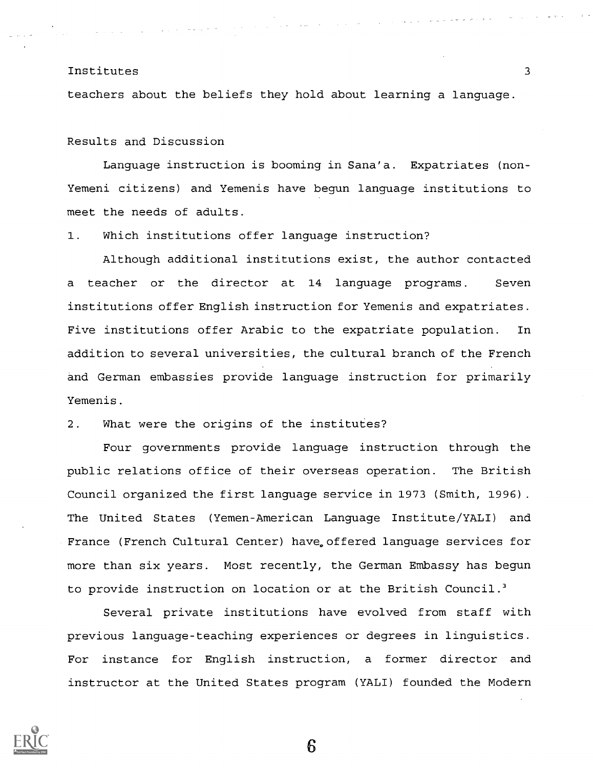teachers about the beliefs they hold about learning a language.

Results and Discussion

Language instruction is booming in Sana'a. Expatriates (non-Yemeni citizens) and Yemenis have begun language institutions to meet the needs of adults.

1. Which institutions offer language instruction?

Although additional institutions exist, the author contacted a teacher or the director at 14 language programs. Seven institutions offer English instruction for Yemenis and expatriates. Five institutions offer Arabic to the expatriate population. In addition to several universities, the cultural branch of the French and German embassies provide language instruction for primarily Yemenis.

2. What were the origins of the institutes?

Four governments provide language instruction through the public relations office of their overseas operation. The British Council organized the first language service in 1973 (Smith, 1996). The United States (Yemen-American Language Institute/YALI) and France (French Cultural Center) have, offered language services for more than six years. Most recently, the German Embassy has begun to provide instruction on location or at the British Council.<sup>3</sup>

Several private institutions have evolved from staff with previous language-teaching experiences or degrees in linguistics. For instance for English instruction, a former director and instructor at the United States program (YALI) founded the Modern

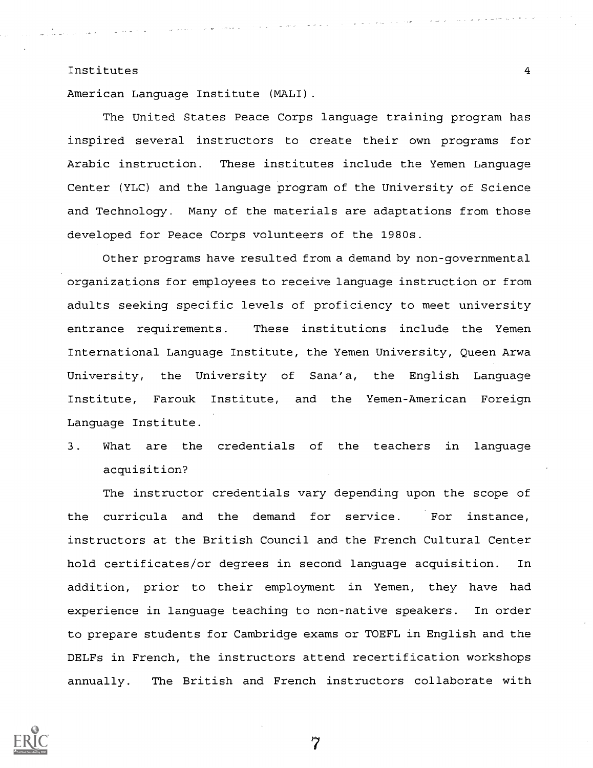American Language Institute (MALI).

The United States Peace Corps language training program has inspired several instructors to create their own programs for Arabic instruction. These institutes include the Yemen Language Center (YLC) and the language program of the University of Science and Technology. Many of the materials are adaptations from those developed for Peace Corps volunteers of the 1980s.

Other programs have resulted from a demand by non-governmental organizations for employees to receive language instruction or from adults seeking specific levels of proficiency to meet university entrance requirements. These institutions include the Yemen International Language Institute, the Yemen University, Queen Arwa University, the University of Sana'a, the English Language Institute, Farouk Institute, and the Yemen-American Foreign Language Institute.

3. What are the credentials of the teachers in language acquisition?

The instructor credentials vary depending upon the scope of the curricula and the demand for service. For instance, instructors at the British Council and the French Cultural Center hold certificates/or degrees in second language acquisition. In addition, prior to their employment in Yemen, they have had experience in language teaching to non-native speakers. In order to prepare students for Cambridge exams or TOEFL in English and the DELFs in French, the instructors attend recertification workshops annually. The British and French instructors collaborate with

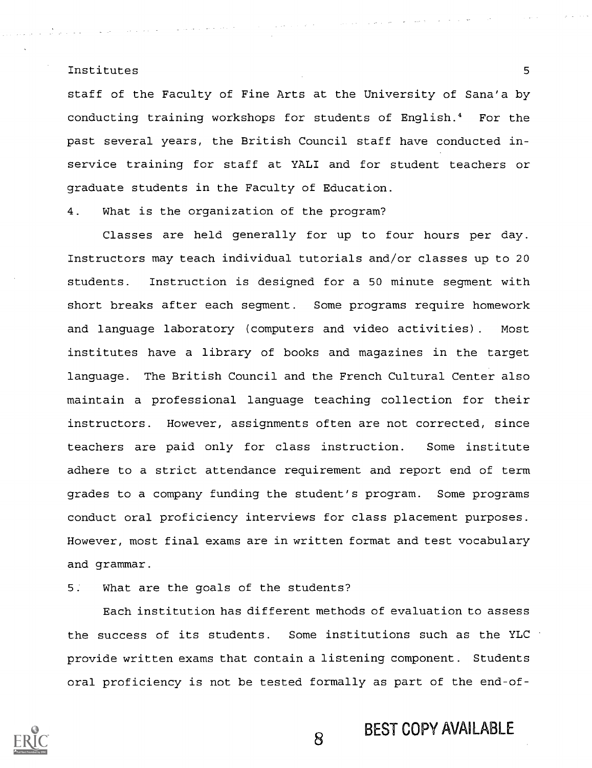staff of the Faculty of Fine Arts at the University of Sana'a by conducting training workshops for students of English.4 For the past several years, the British Council staff have conducted inservice training for staff at YALI and for student teachers or graduate students in the Faculty of Education.

4. What is the organization of the program?

Classes are held generally for up to four hours per day. Instructors may teach individual tutorials and/or classes up to 20 students. Instruction is designed for a 50 minute segment with short breaks after each segment. Some programs require homework and language laboratory (computers and video activities). Most institutes have a library of books and magazines in the target language. The British Council and the French Cultural Center also maintain a professional language teaching collection for their instructors. However, assignments often are not corrected, since teachers are paid only for class instruction. Some institute adhere to a strict attendance requirement and report end of term grades to a company funding the student's program. Some programs conduct oral proficiency interviews for class placement purposes. However, most final exams are in written format and test vocabulary and grammar.

5. What are the goals of the students?

Each institution has different methods of evaluation to assess the success of its students. Some institutions such as the YLC provide written exams that contain a listening component. Students oral proficiency is not be tested formally as part of the end-of-

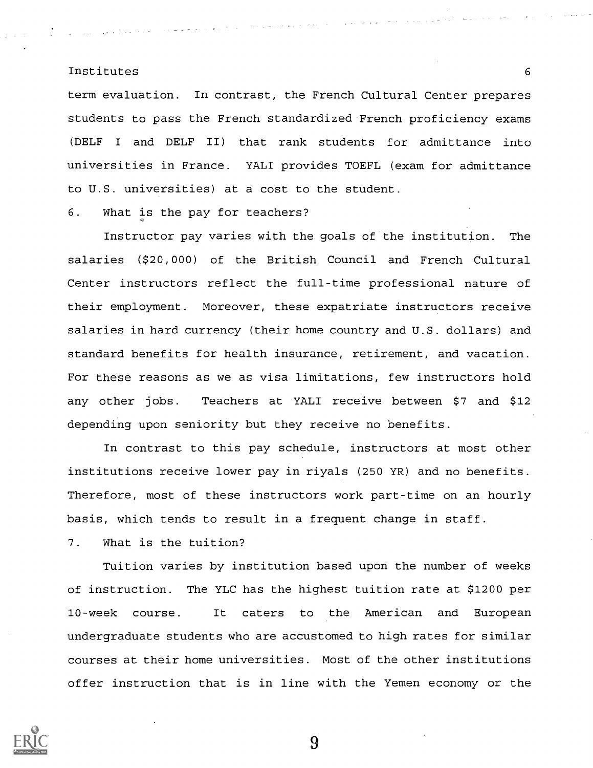term evaluation. In contrast, the French Cultural Center prepares students to pass the French standardized French proficiency exams (DELF <sup>I</sup> and DELF II) that rank students for admittance into universities in France. YALI provides TOEFL (exam for admittance to U.S. universities) at a cost to the student.

6. What is the pay for teachers?

Instructor pay varies with the goals of the institution. The salaries (\$20,000) of the British Council and French Cultural Center instructors reflect the full-time professional nature of their employment. Moreover, these expatriate instructors receive salaries in hard currency (their home country and U.S. dollars) and standard benefits for health insurance, retirement, and vacation. For these reasons as we as visa limitations, few instructors hold any other jobs. Teachers at YALI receive between \$7 and \$12 depending upon seniority but they receive no benefits.

In contrast to this pay schedule, instructors at most other institutions receive lower pay in riyals (250 YR) and no benefits. Therefore, most of these instructors work part-time on an hourly basis, which tends to result in a frequent change in staff.

7. What is the tuition?

Tuition varies by institution based upon the number of weeks of instruction. The YLC has the highest tuition rate at \$1200 per 10-week course. It caters to the American and European undergraduate students who are accustomed to high rates for similar courses at their home universities. Most of the other institutions offer instruction that is in line with the Yemen economy or the

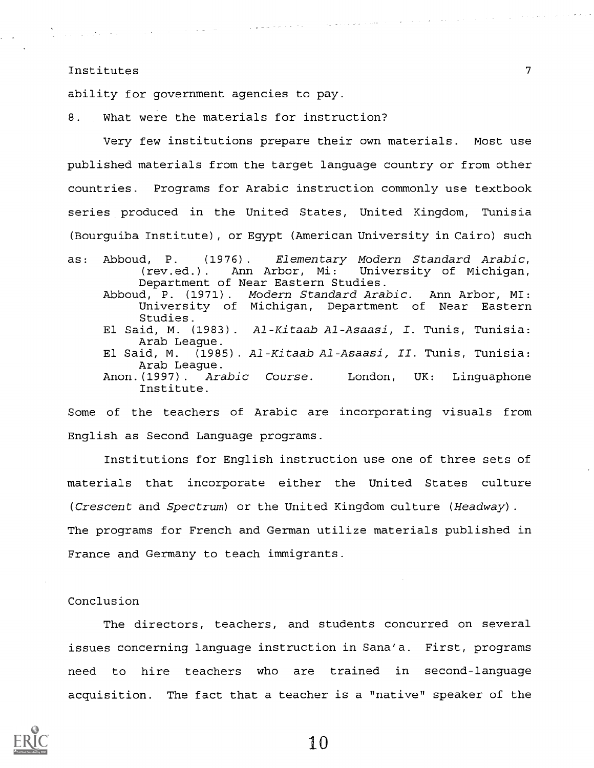$\mathcal{L}_{\mathcal{L}}$  and the set of the set of the set of the set of the set of the set of the set of the set of the set of the set of the set of the set of the set of the set of the set of the set of the set of the set of the

ability for government agencies to pay.

8. What were the materials for instruction?

Very few institutions prepare their own materials. Most use published materials from the target language country or from other countries. Programs for Arabic instruction commonly use textbook series produced in the United States, United Kingdom, Tunisia (Bourguiba Institute), or Egypt (American University in Cairo) such

 $\gamma_{\rm{max}}$  and  $\gamma_{\rm{max}}$  and  $\gamma_{\rm{max}}$ 

as: Abboud, P. (1976). Elementary Modern Standard Arabic, (rev.ed.). Ann Arbor, Mi: University of Michigan, Department of Near Eastern Studies. Abboud, P. (1971). Modern Standard Arabic. Ann Arbor, MI: University of Michigan, Department of Near Eastern Studies. El Said, M. (1983). Al-Kitaab Al-Asaasi, I. Tunis, Tunisia: Arab League. El Said, M. (1985). Al-Kitaab Al-Asaasi, II. Tunis, Tunisia: Arab League. Anon.(1997). Arabic Course. London, UK: Linguaphone Institute.

Some of the teachers of Arabic are incorporating visuals from English as Second Language programs.

Institutions for English instruction use one of three sets of materials that incorporate either the United States culture (Crescent and Spectrum) or the United Kingdom culture (Headway). The programs for French and German utilize materials published in France and Germany to teach immigrants.

#### Conclusion

The directors, teachers, and students concurred on several issues concerning language instruction in Sana'a. First, programs need to hire teachers who are trained in second-language acquisition. The fact that a teacher is a "native" speaker of the



 $\mathcal{L}_{\rm{max}}$  , and  $\mathcal{L}_{\rm{max}}$ 

 $\left\langle \cdot,\cdot\right\rangle _{2}$  ,  $\left\langle \cdot,\cdot\right\rangle _{2}$  ,  $\left\langle \cdot,\cdot\right\rangle _{2}$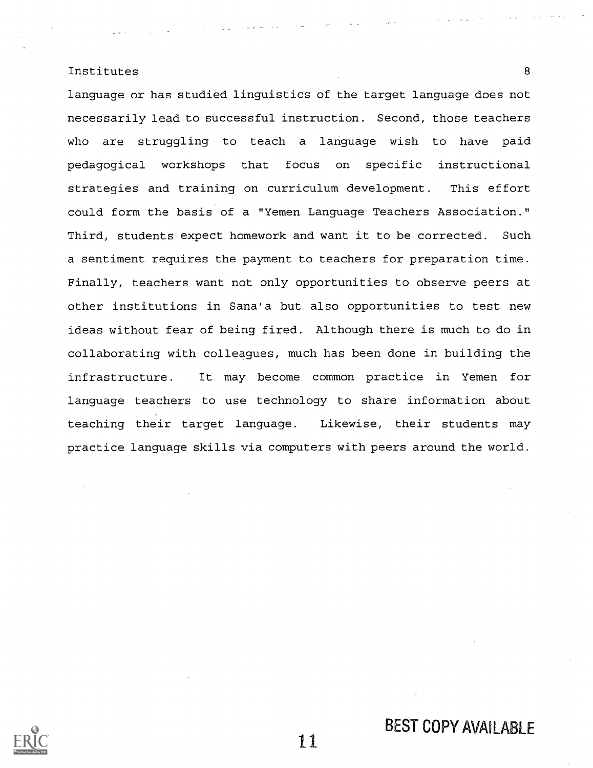language or has studied linguistics of the target language does not necessarily lead to successful instruction. Second, those teachers who are struggling to teach a language wish to have paid pedagogical workshops that focus on specific instructional strategies and training on curriculum development. This effort could form the basis of a "Yemen Language Teachers Association." Third, students expect homework and want it to be corrected. Such a sentiment requires the payment to teachers for preparation time. Finally, teachers want not only opportunities to observe peers at other institutions in Sana'a but also opportunities to test new ideas without fear of being fired. Although there is much to do in collaborating with colleagues, much has been done in building the infrastructure. It may become common practice in Yemen for language teachers to use technology to share information about teaching their target language. Likewise, their students may practice language skills via computers with peers around the world.

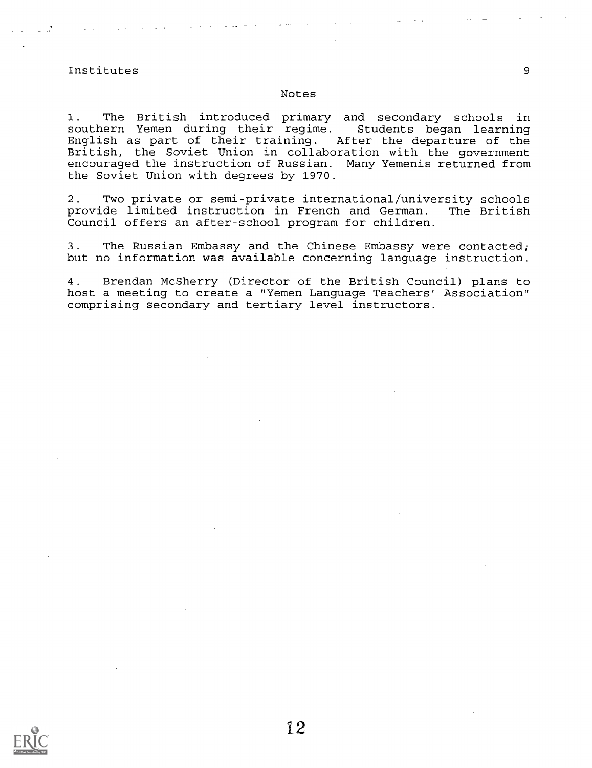#### Notes

1. The British introduced primary and secondary schools in southern Yemen during their regime. Students began learning English as part of their training. After the departure of the British, the Soviet Union in collaboration with the government encouraged the instruction of Russian. Many Yemenis returned from the Soviet Union with degrees by 1970.

2. Two private or semi-private international/university schools provide limited instruction in French and German. The British Council offers an after-school program for children.

3. The Russian Embassy and the Chinese Embassy were contacted; but no information was available concerning language instruction.

4. Brendan McSherry (Director of the British Council) plans to host a meeting to create a "Yemen Language Teachers' Association" comprising secondary and tertiary level instructors.

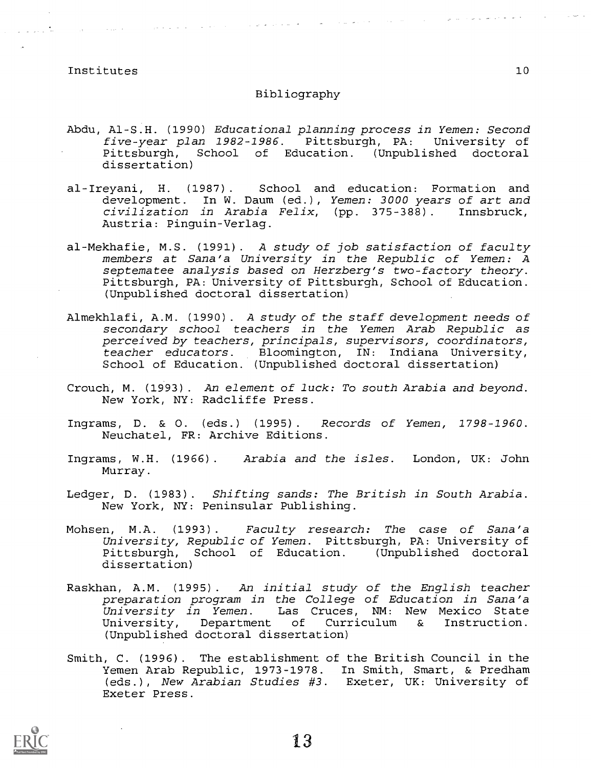**Contractor** 

 $\hat{\mathcal{L}}$  , and  $\hat{\mathcal{L}}$  are  $\hat{\mathcal{L}}$  , and  $\hat{\mathcal{L}}$  , and  $\hat{\mathcal{L}}$ 

#### Bibliography

- Abdu, Al-S.H. (1990) Educational planning process in Yemen: Second five-year plan 1982-1986. Pittsburgh, PA: University of<br>Pittsburgh, School of Education. (Unpublished doctoral School of Education. (Unpublished doctoral dissertation)
- al-Ireyani, H. (1987). School and education: Formation and development. In W. Daum (ed.), Yemen: 3000 years of art and civilization in Arabia Felix, (pp. 375-388) . Innsbruck, Austria: Pinguin-Verlag.
- al-Mekhafie, M.S. (1991). A study of job satisfaction of faculty members at Sana'a University in the Republic of Yemen: A septematee analysis based on Herzberg's two-factory theory. Pittsburgh, PA: University of Pittsburgh, School of Education. (Unpublished doctoral dissertation)
- Almekhlafi, A.M. (1990). A study of the staff development needs of secondary school teachers in the Yemen Arab Republic as perceived by teachers, principals, supervisors, coordinators, teacher educators. Bloomington, IN: Indiana University, School of Education. (Unpublished doctoral dissertation)
- Crouch, M. (1993) . An element of luck: To south Arabia and beyond. New York, NY: Radcliffe Press.
- Ingrams, D. & 0. (eds.) (1995). Records of Yemen, 1798-1960. Neuchatel, FR: Archive Editions.
- Ingrams, W.H. (1966). Arabia and the isles. London, UK: John Murray.
- Ledger, D. (1983). Shifting sands: The British in South Arabia. New York, NY: Peninsular Publishing.
- Mohsen, M.A. (1993). Faculty research: The case of Sana'a University, Republic of Yemen. Pittsburgh, PA: University of Pittsburgh, School of Education. (Unpublished doctoral dissertation)
- Raskhan, A.M. (1995). An initial study of the English teacher preparation program in the College of Education in Sana'a University in Yemen. Las Cruces, NM: New Mexico State University, Department of Curriculum & Instruction. (Unpublished doctoral dissertation)
- Smith, C. (1996). The establishment of the British Council in the Yemen Arab Republic, 1973-1978. In Smith, Smart, & Predham (eds.), New Arabian Studies #3. Exeter, UK: University of Exeter Press.

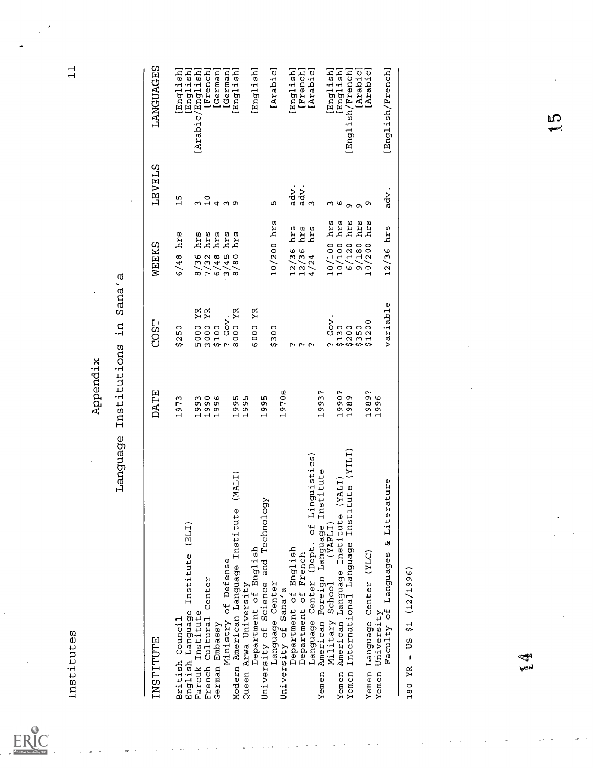$\underset{\overbrace{\mathsf{Fulltest\,Bordedlet\,}\mathsf{b}_\mathsf{y}\,\mathsf{ERLC}}}{\mathsf{ERUC}}$ 

| Language                                                                              | Institutions<br>Appendix                                               | Sana'a<br>$\frac{1}{1}$              |                                                               |                   |                             |
|---------------------------------------------------------------------------------------|------------------------------------------------------------------------|--------------------------------------|---------------------------------------------------------------|-------------------|-----------------------------|
| INSTITUTE                                                                             | <b>DATE</b>                                                            | COST                                 | WEEKS                                                         | <b>LEVELS</b>     | LANGUAGES                   |
| British Council                                                                       | 1973                                                                   | \$250                                | <b>BID</b><br>6/48                                            | $\frac{1}{1}$     | [English]                   |
| (ELI)<br>Institute<br>English Language<br>Farouk Institute                            | $\mathbf{\mathbf{r}}$                                                  | YR                                   | hrs<br>$\tilde{\zeta}$                                        |                   | [Arabic/English]<br>English |
| Center<br>Cultural<br>French                                                          | 0<br>0<br>0<br>0<br>0<br>0<br>0<br>0<br>$\mathbf{\mathbf{H}}$          | YR                                   | arq                                                           |                   | [French]                    |
| German Embassy                                                                        | $\mathbf{\mathbf{r}}$                                                  | 5000<br>3000<br>5000<br>5000<br>5000 | hrs<br>s<br>270 w s                                           | o<br>md d m o     | [German]                    |
| Ministry of Defense                                                                   |                                                                        | $Gov$ .                              | arr<br>hrs                                                    |                   | [German]                    |
| (MALI)<br>Modern American Language Institute<br>Queen Arwa University                 | 995<br>$\mathbf{\mathbf{H}}$<br>$\mathbf{\mathbf{H}}$                  | 00 YR<br>$\circ$<br>$\infty$         |                                                               |                   | [English]                   |
| Department of English                                                                 |                                                                        | YR<br>000<br>c                       |                                                               |                   | [English]                   |
| and Technology<br>University of Science                                               | m<br>თ<br>Ö<br>H                                                       |                                      |                                                               |                   |                             |
| Language Center<br>University of Sana'a                                               |                                                                        | $\circ$<br>$\circ$<br>$\sim$<br>s,   | $10/200$ hrs                                                  | m                 | [Arabic]                    |
|                                                                                       | ω<br>$\circ$<br>$\overline{97}$<br>$\mathbf{\mathbf{H}}$               |                                      |                                                               |                   |                             |
| Department of English                                                                 |                                                                        |                                      | hrs<br>$\frac{12}{12}$ /36<br>12/36<br>4/24                   | adv.              | [English]                   |
| Department of French                                                                  |                                                                        | $\alpha$ . $\alpha$ . $\alpha$ .     | hrs<br>hrs                                                    | adv.<br>3         | [French]                    |
| Language Center (Dept. of Linguistics)                                                |                                                                        |                                      |                                                               |                   | [Arabic]                    |
| Institute<br>Foreign Language<br>School (YAFLI)<br>American<br>Yemen                  | ρ٠<br>1993                                                             |                                      |                                                               |                   |                             |
| Military                                                                              |                                                                        | <b>GOV</b><br>$\mathbf{c}$           | hrs                                                           | ო დ               | [English]                   |
| (YALI<br>Yemen                                                                        | ი.<br>თ<br>$\begin{smallmatrix} 0 & 0 \\ 0 & 0 \end{smallmatrix}$<br>ᆏ |                                      | hrs                                                           |                   | [English]                   |
| ITIX)<br>tute<br>American Language Institute<br>International Language Insti<br>Yemen |                                                                        | \$130<br>\$200<br>\$350<br>\$1200    | hrs<br>10/100<br>10/100<br>6/120<br>9/180<br>9/1800<br>10/200 | $\sigma$ $\sigma$ | [English/French]            |
|                                                                                       |                                                                        |                                      | hrs                                                           |                   | [Arabic]                    |
| Center (YLC)<br>Language<br>Yemen                                                     | 1989?<br>1996<br>$\overline{a}$                                        |                                      | hrs                                                           | ᡡ                 | [Arabic]                    |
| University<br>Yemen                                                                   |                                                                        |                                      |                                                               |                   |                             |
| ature<br>Liter<br>ūδ<br>Faculty of Languages                                          |                                                                        | Ф<br>variabl                         | hrs<br>12/36                                                  | adv               | [English/French]            |
| $YR = US \t51 (12/1996)$<br>180                                                       |                                                                        |                                      |                                                               |                   |                             |
|                                                                                       |                                                                        |                                      |                                                               |                   |                             |
|                                                                                       |                                                                        |                                      |                                                               |                   |                             |

بي<br>س

 $\sum_{k=1}^{n}$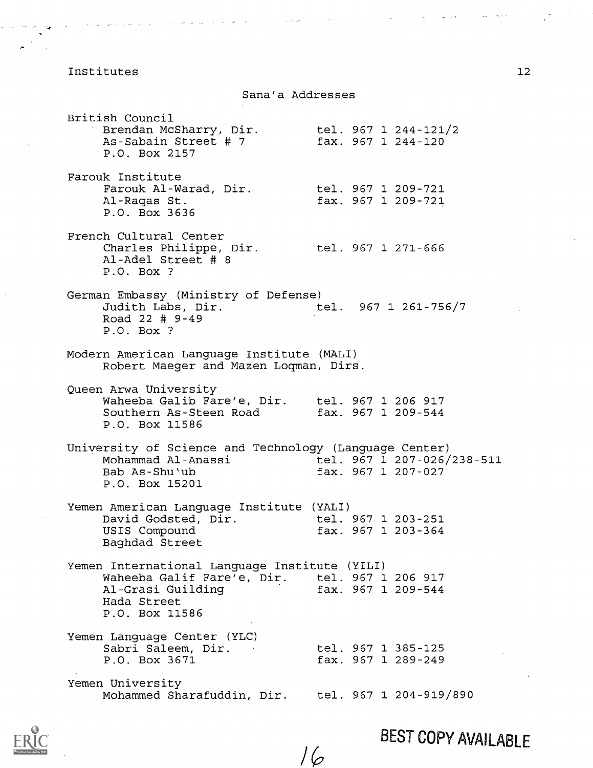Sana'a Addresses

 $\sim 10^{11}$  km  $^{-1}$ 

British Council Brendan McSharry, Dir. As-Sabain Street # 7 P.O. Box 2157 Farouk Institute Farouk Al-Warad, Dir. tel. 967 1 209-721 Al-Ragas St. P.O. Box 3636 French Cultural Center Charles Philippe, Dir. tel. 967 1 271-666 Al-Adel Street # 8 P.O. Box ? tel. 967 1 244-121/2 fax. 967 1 244-120 fax. 967 1 209-721 German Embassy (Ministry of Defense) Judith Labs, Dir. tel. 967 1 261-756/7 Road 22 # 9-49 P.O. Box ? Modern American Language Institute (MALI) Robert Maeger and Mazen Loqman, Dirs. Queen Arwa University Waheeba Galib Fare'e, Dir. tel. 967 1 206 917 Southern As-Steen Road fax. 967 1 209-544 P.O. Box 11586 University of Science and Technology (Language Center) Mohammad Al-Anassi tel. 967 1 207-026/238-511<br>Bab As-Shu'ub fax. 967 1 207-027  $fax. 967 1 207 - 027$ P.O. Box 15201 Yemen American Language Institute (YALI) David Godsted, Dir. tel. 967 1 203-251 USIS Compound fax. 967 1 203-364 Baghdad Street Yemen International Language Institute (YILI) Waheeba Galif Fare'e, Dir. tel. 967 1 206 917 Al-Grasi Guilding fax. 967 1 209-544 Hada Street P.O. Box 11586 Yemen Language Center (YLC) Sabri Saleem, Dir. P.O. Box 3671 tel. 967 1 385-125 fax. 967 1 289-249 Yemen University Mohammed Sharafuddin, Dir. tel. 967 1 204-919/890

16



 $\sim 10^{11}$  and  $\sim 800$ 

 $\mathcal{A}_\mathrm{c}$  and  $\mathcal{A}_\mathrm{c}$  are also the  $\mathcal{A}_\mathrm{c}$ 

BEST COPY AVAILABLE